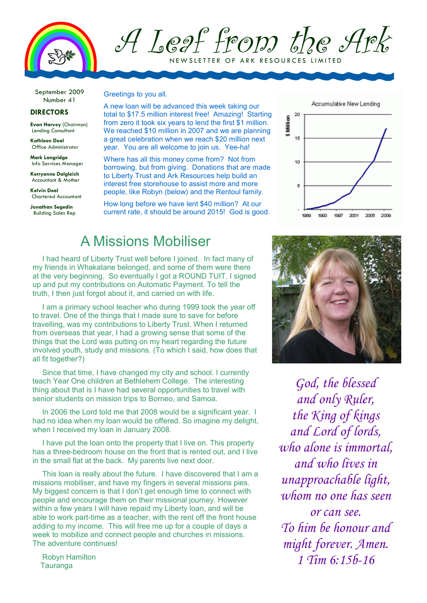

## A Leaf from the Ark N E W SLETTER OF ARK RESOURCES LIMITED

September 2009 Number 41

#### **DIRECTORS**

**Evan Harvey** (Chairman) Lending Consultant

**Kathleen Deal**  Office Administrator

**Mark Langridge**  Info Services Manager

**Kerryanne Dalgleish**  Accountant & Mother

**Kelvin Deal**  Chartered Accountant

**Jonathan Segedin**  Building Sales Rep Greetings to you all.

A new loan will be advanced this week taking our total to \$17.5 million interest free! Amazing! Starting from zero it took six years to lend the first \$1 million. We reached \$10 million in 2007 and we are planning a great celebration when we reach \$20 million next year. You are all welcome to join us. Yee-ha!

Where has all this money come from? Not from borrowing, but from giving. Donations that are made to Liberty Trust and Ark Resources help build an interest free storehouse to assist more and more people, like Robyn (below) and the Rentoul family.

How long before we have lent \$40 million? At our current rate, it should be around 2015! God is good.

## A Missions Mobiliser

I had heard of Liberty Trust well before I joined. In fact many of my friends in Whakatane belonged, and some of them were there at the very beginning. So eventually I got a ROUND TUIT. I signed up and put my contributions on Automatic Payment. To tell the truth, I then just forgot about it, and carried on with life.

I am a primary school teacher who during 1999 took the year off to travel. One of the things that I made sure to save for before travelling, was my contributions to Liberty Trust. When I returned from overseas that year, I had a growing sense that some of the things that the Lord was putting on my heart regarding the future involved youth, study and missions. (To which I said, how does that all fit together?)

Since that time, I have changed my city and school. I currently teach Year One children at Bethlehem College. The interesting thing about that is I have had several opportunities to travel with senior students on mission trips to Borneo, and Samoa.

In 2006 the Lord told me that 2008 would be a significant year. I had no idea when my loan would be offered. So imagine my delight, when I received my loan in January 2008.

I have put the loan onto the property that I live on. This property has a three-bedroom house on the front that is rented out, and I live in the small flat at the back. My parents live next door.

This loan is really about the future. I have discovered that I am a missions mobiliser, and have my fingers in several missions pies. My biggest concern is that I don't get enough time to connect with people and encourage them on their missional journey. However within a few years I will have repaid my Liberty loan, and will be able to work part-time as a teacher, with the rent off the front house adding to my income. This will free me up for a couple of days a week to mobilize and connect people and churches in missions. The adventure continues!

Robyn Hamilton Tauranga





*God, the blessed and only Ruler, the King of kings and Lord of lords, who alone is immortal, and who lives in unapproachable light, whom no one has seen or can see. To him be honour and might forever. Amen. 1 Tim 6:15b-16*